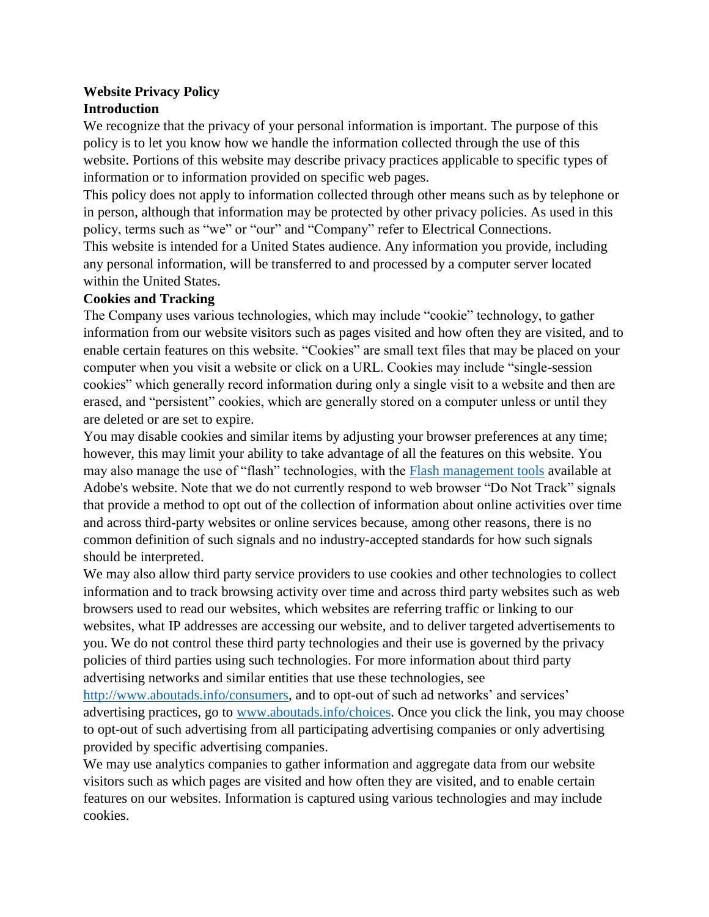# **Website Privacy Policy Introduction**

We recognize that the privacy of your personal information is important. The purpose of this policy is to let you know how we handle the information collected through the use of this website. Portions of this website may describe privacy practices applicable to specific types of information or to information provided on specific web pages.

This policy does not apply to information collected through other means such as by telephone or in person, although that information may be protected by other privacy policies. As used in this policy, terms such as "we" or "our" and "Company" refer to Electrical Connections. This website is intended for a United States audience. Any information you provide, including any personal information, will be transferred to and processed by a computer server located within the United States.

# **Cookies and Tracking**

The Company uses various technologies, which may include "cookie" technology, to gather information from our website visitors such as pages visited and how often they are visited, and to enable certain features on this website. "Cookies" are small text files that may be placed on your computer when you visit a website or click on a URL. Cookies may include "single-session cookies" which generally record information during only a single visit to a website and then are erased, and "persistent" cookies, which are generally stored on a computer unless or until they are deleted or are set to expire.

You may disable cookies and similar items by adjusting your browser preferences at any time; however, this may limit your ability to take advantage of all the features on this website. You may also manage the use of "flash" technologies, with the [Flash management tools](http://www.adobe.com/devnet/security.html) available at Adobe's website. Note that we do not currently respond to web browser "Do Not Track" signals that provide a method to opt out of the collection of information about online activities over time and across third-party websites or online services because, among other reasons, there is no common definition of such signals and no industry-accepted standards for how such signals should be interpreted.

We may also allow third party service providers to use cookies and other technologies to collect information and to track browsing activity over time and across third party websites such as web browsers used to read our websites, which websites are referring traffic or linking to our websites, what IP addresses are accessing our website, and to deliver targeted advertisements to you. We do not control these third party technologies and their use is governed by the privacy policies of third parties using such technologies. For more information about third party advertising networks and similar entities that use these technologies, see

[http://www.aboutads.info/consumers,](http://www.aboutads.info/consumers) and to opt-out of such ad networks' and services' advertising practices, go to [www.aboutads.info/choices.](http://www.aboutads.info/choices/) Once you click the link, you may choose to opt-out of such advertising from all participating advertising companies or only advertising provided by specific advertising companies.

We may use analytics companies to gather information and aggregate data from our website visitors such as which pages are visited and how often they are visited, and to enable certain features on our websites. Information is captured using various technologies and may include cookies.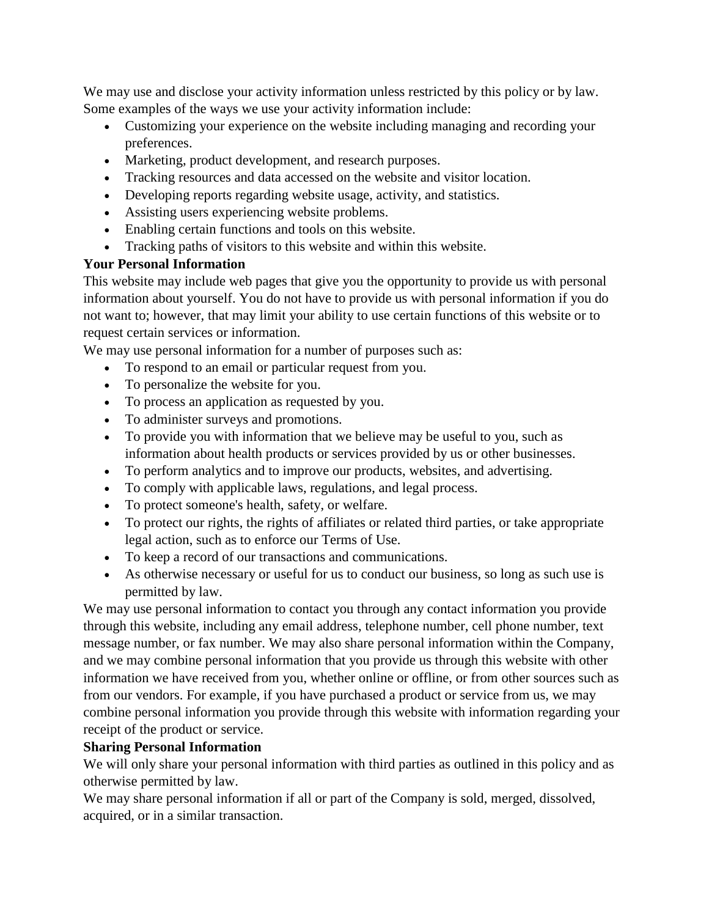We may use and disclose your activity information unless restricted by this policy or by law. Some examples of the ways we use your activity information include:

- Customizing your experience on the website including managing and recording your preferences.
- Marketing, product development, and research purposes.
- Tracking resources and data accessed on the website and visitor location.
- Developing reports regarding website usage, activity, and statistics.
- Assisting users experiencing website problems.
- Enabling certain functions and tools on this website.
- Tracking paths of visitors to this website and within this website.

# **Your Personal Information**

This website may include web pages that give you the opportunity to provide us with personal information about yourself. You do not have to provide us with personal information if you do not want to; however, that may limit your ability to use certain functions of this website or to request certain services or information.

We may use personal information for a number of purposes such as:

- To respond to an email or particular request from you.
- To personalize the website for you.
- To process an application as requested by you.
- To administer surveys and promotions.
- To provide you with information that we believe may be useful to you, such as information about health products or services provided by us or other businesses.
- To perform analytics and to improve our products, websites, and advertising.
- To comply with applicable laws, regulations, and legal process.
- To protect someone's health, safety, or welfare.
- To protect our rights, the rights of affiliates or related third parties, or take appropriate legal action, such as to enforce our Terms of Use.
- To keep a record of our transactions and communications.
- As otherwise necessary or useful for us to conduct our business, so long as such use is permitted by law.

We may use personal information to contact you through any contact information you provide through this website, including any email address, telephone number, cell phone number, text message number, or fax number. We may also share personal information within the Company, and we may combine personal information that you provide us through this website with other information we have received from you, whether online or offline, or from other sources such as from our vendors. For example, if you have purchased a product or service from us, we may combine personal information you provide through this website with information regarding your receipt of the product or service.

# **Sharing Personal Information**

We will only share your personal information with third parties as outlined in this policy and as otherwise permitted by law.

We may share personal information if all or part of the Company is sold, merged, dissolved, acquired, or in a similar transaction.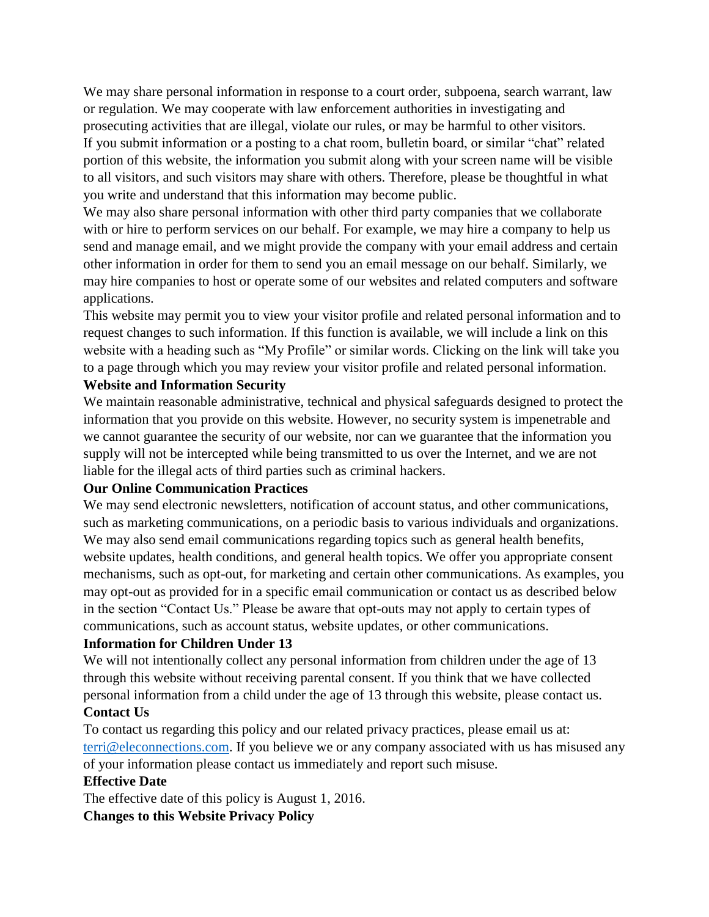We may share personal information in response to a court order, subpoena, search warrant, law or regulation. We may cooperate with law enforcement authorities in investigating and prosecuting activities that are illegal, violate our rules, or may be harmful to other visitors. If you submit information or a posting to a chat room, bulletin board, or similar "chat" related portion of this website, the information you submit along with your screen name will be visible to all visitors, and such visitors may share with others. Therefore, please be thoughtful in what you write and understand that this information may become public.

We may also share personal information with other third party companies that we collaborate with or hire to perform services on our behalf. For example, we may hire a company to help us send and manage email, and we might provide the company with your email address and certain other information in order for them to send you an email message on our behalf. Similarly, we may hire companies to host or operate some of our websites and related computers and software applications.

This website may permit you to view your visitor profile and related personal information and to request changes to such information. If this function is available, we will include a link on this website with a heading such as "My Profile" or similar words. Clicking on the link will take you to a page through which you may review your visitor profile and related personal information.

# **Website and Information Security**

We maintain reasonable administrative, technical and physical safeguards designed to protect the information that you provide on this website. However, no security system is impenetrable and we cannot guarantee the security of our website, nor can we guarantee that the information you supply will not be intercepted while being transmitted to us over the Internet, and we are not liable for the illegal acts of third parties such as criminal hackers.

## **Our Online Communication Practices**

We may send electronic newsletters, notification of account status, and other communications, such as marketing communications, on a periodic basis to various individuals and organizations. We may also send email communications regarding topics such as general health benefits, website updates, health conditions, and general health topics. We offer you appropriate consent mechanisms, such as opt-out, for marketing and certain other communications. As examples, you may opt-out as provided for in a specific email communication or contact us as described below in the section "Contact Us." Please be aware that opt-outs may not apply to certain types of communications, such as account status, website updates, or other communications.

### **Information for Children Under 13**

We will not intentionally collect any personal information from children under the age of 13 through this website without receiving parental consent. If you think that we have collected personal information from a child under the age of 13 through this website, please contact us. **Contact Us** 

To contact us regarding this policy and our related privacy practices, please email us at: [terri@eleconnections.com.](mailto:terri@eleconnections.com) If you believe we or any company associated with us has misused any of your information please contact us immediately and report such misuse.

### **Effective Date**

The effective date of this policy is August 1, 2016. **Changes to this Website Privacy Policy**